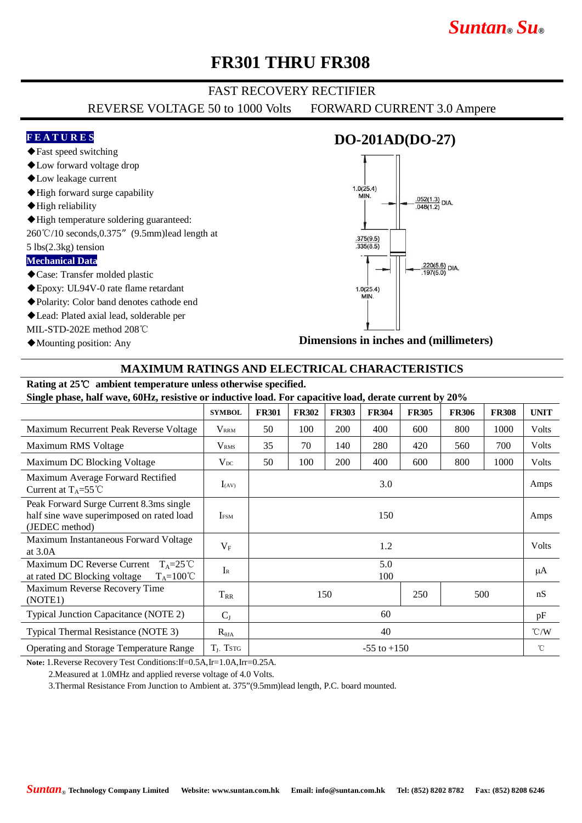# *Suntan***®** *Su***®**

## **FR301 THRU FR308**

### FAST RECOVERY RECTIFIER

REVERSE VOLTAGE 50 to 1000 Volts FORWARD CURRENT 3.0 Ampere

#### **F E A T U R E S**

### **DO-201AD(DO-27)**

- ◆Low forward voltage drop ◆Low leakage current
- 

◆Fast speed switching

- ◆High forward surge capability
- ◆High reliability
- ◆High temperature soldering guaranteed:
- 260℃/10 seconds,0.375"(9.5mm)lead length at

#### 5 lbs(2.3kg) tension

#### **Mechanical Data**

- ◆Case: Transfer molded plastic
- ◆Epoxy: UL94V-0 rate flame retardant
- ◆Polarity: Color band denotes cathode end
- ◆Lead: Plated axial lead, solderable per

MIL-STD-202E method 208℃

◆Mounting position: Any



**Dimensions in inches and (millimeters)**

#### **MAXIMUM RATINGS AND ELECTRICAL CHARACTERISTICS**

### **Rating at 25**℃ **ambient temperature unless otherwise specified.**

**Single phase, half wave, 60Hz, resistive or inductive load. For capacitive load, derate current by 20%**

|                                                                                                             | <b>SYMBOL</b>           | <b>FR301</b>      | <b>FR302</b> | <b>FR303</b> | <b>FR304</b> | <b>FR305</b> | <b>FR306</b> | <b>FR308</b> | <b>UNIT</b>   |
|-------------------------------------------------------------------------------------------------------------|-------------------------|-------------------|--------------|--------------|--------------|--------------|--------------|--------------|---------------|
| Maximum Recurrent Peak Reverse Voltage                                                                      | <b>V</b> <sub>RRM</sub> | 50                | 100          | 200          | 400          | 600          | 800          | 1000         | Volts         |
| Maximum RMS Voltage                                                                                         | V <sub>RMS</sub>        | 35                | 70           | 140          | 280          | 420          | 560          | 700          | Volts         |
| Maximum DC Blocking Voltage                                                                                 | $V_{DC}$                | 50                | 100          | 200          | 400          | 600          | 800          | 1000         | Volts         |
| Maximum Average Forward Rectified<br>Current at $T_A = 55^{\circ}$ C                                        | $I_{(AV)}$              |                   |              |              | 3.0          |              |              |              | Amps          |
| Peak Forward Surge Current 8.3ms single<br>half sine wave superimposed on rated load<br>(JEDEC method)      | <b>IFSM</b>             | 150               |              |              |              |              |              |              | Amps          |
| Maximum Instantaneous Forward Voltage<br>at $3.0A$                                                          | $V_{\rm F}$             | 1.2               |              |              |              |              |              |              | Volts         |
| Maximum DC Reverse Current<br>$T_{A} = 25^{\circ}C$<br>$T_A = 100^{\circ}C$<br>at rated DC Blocking voltage | $I_{R}$                 | 5.0<br>100        |              |              |              |              |              |              | μA            |
| Maximum Reverse Recovery Time<br>(NOTE1)                                                                    | $T_{RR}$                | 150<br>250<br>500 |              |              |              |              |              | nS           |               |
| Typical Junction Capacitance (NOTE 2)                                                                       | $C_{J}$                 | 60                |              |              |              |              |              |              | pF            |
| Typical Thermal Resistance (NOTE 3)                                                                         | $R_{\theta JA}$         | 40                |              |              |              |              |              |              | $\degree$ C/W |
| <b>Operating and Storage Temperature Range</b>                                                              | $T_J$ , Tstg            | $-55$ to $+150$   |              |              |              |              |              |              | °C            |

**Note:** 1.Reverse Recovery Test Conditions:If=0.5A,Ir=1.0A,Irr=0.25A.

2.Measured at 1.0MHz and applied reverse voltage of 4.0 Volts.

3.Thermal Resistance From Junction to Ambient at. 375"(9.5mm)lead length, P.C. board mounted.